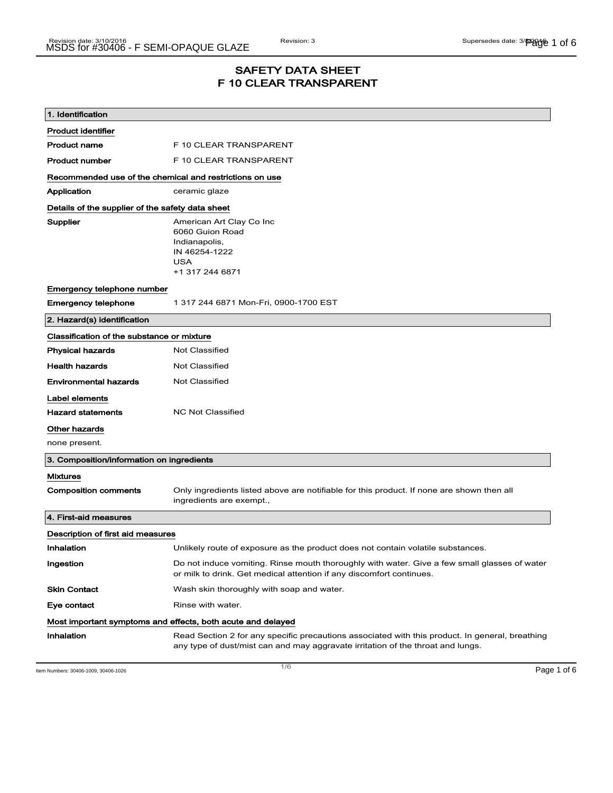## SAFETY DATA SHEET F 10 CLEAR TRANSPARENT

| 1. Identification                                           |                                                                                                                                                                                    |  |
|-------------------------------------------------------------|------------------------------------------------------------------------------------------------------------------------------------------------------------------------------------|--|
| <b>Product identifier</b>                                   |                                                                                                                                                                                    |  |
| <b>Product name</b>                                         | F 10 CLEAR TRANSPARENT                                                                                                                                                             |  |
| <b>Product number</b>                                       | F 10 CLEAR TRANSPARENT                                                                                                                                                             |  |
| Recommended use of the chemical and restrictions on use     |                                                                                                                                                                                    |  |
| Application                                                 | ceramic glaze                                                                                                                                                                      |  |
| Details of the supplier of the safety data sheet            |                                                                                                                                                                                    |  |
| Supplier                                                    | American Art Clay Co Inc<br>6060 Guion Road<br>Indianapolis,<br>IN 46254-1222<br><b>USA</b><br>+1 317 244 6871                                                                     |  |
| Emergency telephone number                                  |                                                                                                                                                                                    |  |
| <b>Emergency telephone</b>                                  | 1 317 244 6871 Mon-Fri, 0900-1700 EST                                                                                                                                              |  |
| 2. Hazard(s) identification                                 |                                                                                                                                                                                    |  |
| Classification of the substance or mixture                  |                                                                                                                                                                                    |  |
| <b>Physical hazards</b>                                     | <b>Not Classified</b>                                                                                                                                                              |  |
| <b>Health hazards</b>                                       | <b>Not Classified</b>                                                                                                                                                              |  |
| <b>Environmental hazards</b>                                | <b>Not Classified</b>                                                                                                                                                              |  |
| Label elements                                              |                                                                                                                                                                                    |  |
| <b>Hazard statements</b>                                    | <b>NC Not Classified</b>                                                                                                                                                           |  |
| Other hazards                                               |                                                                                                                                                                                    |  |
| none present.                                               |                                                                                                                                                                                    |  |
| 3. Composition/information on ingredients                   |                                                                                                                                                                                    |  |
| <b>Mixtures</b>                                             |                                                                                                                                                                                    |  |
| <b>Composition comments</b>                                 | Only ingredients listed above are notifiable for this product. If none are shown then all<br>ingredients are exempt.,                                                              |  |
| 4. First-aid measures                                       |                                                                                                                                                                                    |  |
| Description of first aid measures                           |                                                                                                                                                                                    |  |
| Inhalation                                                  | Unlikely route of exposure as the product does not contain volatile substances.                                                                                                    |  |
| Ingestion                                                   | Do not induce vomiting. Rinse mouth thoroughly with water. Give a few small glasses of water<br>or milk to drink. Get medical attention if any discomfort continues.               |  |
| <b>Skin Contact</b>                                         | Wash skin thoroughly with soap and water.                                                                                                                                          |  |
| Eye contact                                                 | Rinse with water.                                                                                                                                                                  |  |
| Most important symptoms and effects, both acute and delayed |                                                                                                                                                                                    |  |
| Inhalation                                                  | Read Section 2 for any specific precautions associated with this product. In general, breathing<br>any type of dust/mist can and may aggravate irritation of the throat and lungs. |  |

Item Numbers: 30406-1009, 30406-1026  $P$ age 1 of 6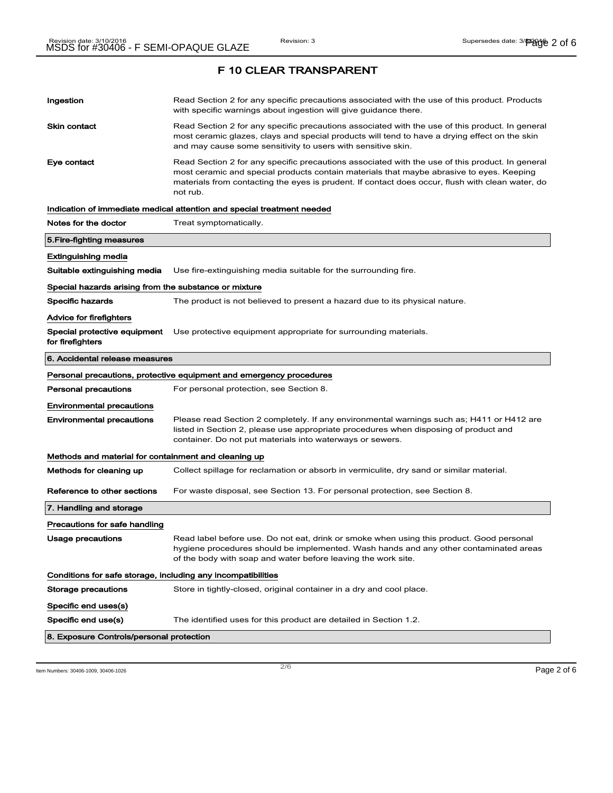| Ingestion                                                    | Read Section 2 for any specific precautions associated with the use of this product. Products<br>with specific warnings about ingestion will give guidance there.                                                                                                                                           |  |
|--------------------------------------------------------------|-------------------------------------------------------------------------------------------------------------------------------------------------------------------------------------------------------------------------------------------------------------------------------------------------------------|--|
| Skin contact                                                 | Read Section 2 for any specific precautions associated with the use of this product. In general<br>most ceramic glazes, clays and special products will tend to have a drying effect on the skin<br>and may cause some sensitivity to users with sensitive skin.                                            |  |
| Eye contact                                                  | Read Section 2 for any specific precautions associated with the use of this product. In general<br>most ceramic and special products contain materials that maybe abrasive to eyes. Keeping<br>materials from contacting the eyes is prudent. If contact does occur, flush with clean water, do<br>not rub. |  |
|                                                              | Indication of immediate medical attention and special treatment needed                                                                                                                                                                                                                                      |  |
| Notes for the doctor                                         | Treat symptomatically.                                                                                                                                                                                                                                                                                      |  |
| 5.Fire-fighting measures                                     |                                                                                                                                                                                                                                                                                                             |  |
| Extinguishing media                                          |                                                                                                                                                                                                                                                                                                             |  |
| Suitable extinguishing media                                 | Use fire-extinguishing media suitable for the surrounding fire.                                                                                                                                                                                                                                             |  |
| Special hazards arising from the substance or mixture        |                                                                                                                                                                                                                                                                                                             |  |
| <b>Specific hazards</b>                                      | The product is not believed to present a hazard due to its physical nature.                                                                                                                                                                                                                                 |  |
| Advice for firefighters                                      |                                                                                                                                                                                                                                                                                                             |  |
| Special protective equipment<br>for firefighters             | Use protective equipment appropriate for surrounding materials.                                                                                                                                                                                                                                             |  |
| 6. Accidental release measures                               |                                                                                                                                                                                                                                                                                                             |  |
|                                                              | Personal precautions, protective equipment and emergency procedures                                                                                                                                                                                                                                         |  |
| <b>Personal precautions</b>                                  | For personal protection, see Section 8.                                                                                                                                                                                                                                                                     |  |
| <b>Environmental precautions</b>                             |                                                                                                                                                                                                                                                                                                             |  |
| <b>Environmental precautions</b>                             | Please read Section 2 completely. If any environmental warnings such as; H411 or H412 are<br>listed in Section 2, please use appropriate procedures when disposing of product and<br>container. Do not put materials into waterways or sewers.                                                              |  |
| Methods and material for containment and cleaning up         |                                                                                                                                                                                                                                                                                                             |  |
| Methods for cleaning up                                      | Collect spillage for reclamation or absorb in vermiculite, dry sand or similar material.                                                                                                                                                                                                                    |  |
| Reference to other sections                                  | For waste disposal, see Section 13. For personal protection, see Section 8.                                                                                                                                                                                                                                 |  |
| 7. Handling and storage                                      |                                                                                                                                                                                                                                                                                                             |  |
| Precautions for safe handling                                |                                                                                                                                                                                                                                                                                                             |  |
| Usage precautions                                            | Read label before use. Do not eat, drink or smoke when using this product. Good personal<br>hygiene procedures should be implemented. Wash hands and any other contaminated areas<br>of the body with soap and water before leaving the work site.                                                          |  |
| Conditions for safe storage, including any incompatibilities |                                                                                                                                                                                                                                                                                                             |  |
| Storage precautions                                          | Store in tightly-closed, original container in a dry and cool place.                                                                                                                                                                                                                                        |  |
| Specific end uses(s)                                         |                                                                                                                                                                                                                                                                                                             |  |
| Specific end use(s)                                          | The identified uses for this product are detailed in Section 1.2.                                                                                                                                                                                                                                           |  |
| 8. Exposure Controls/personal protection                     |                                                                                                                                                                                                                                                                                                             |  |

Item Numbers: 30406-1009, 30406-1026 Page 2 of 6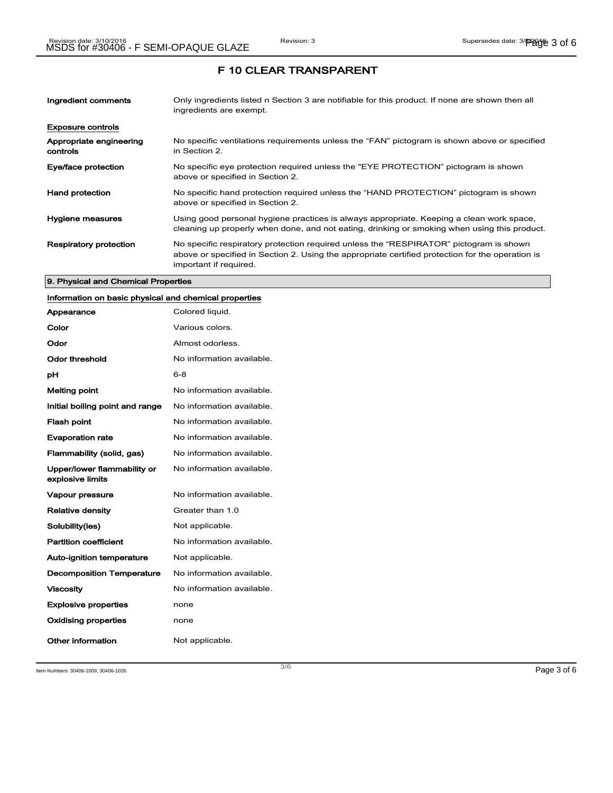| Ingredient comments                 | Only ingredients listed n Section 3 are notifiable for this product. If none are shown then all<br>ingredients are exempt.                                                                                           |
|-------------------------------------|----------------------------------------------------------------------------------------------------------------------------------------------------------------------------------------------------------------------|
| <b>Exposure controls</b>            |                                                                                                                                                                                                                      |
| Appropriate engineering<br>controls | No specific ventilations requirements unless the "FAN" pictogram is shown above or specified<br>in Section 2.                                                                                                        |
| Eye/face protection                 | No specific eye protection required unless the "EYE PROTECTION" pictogram is shown<br>above or specified in Section 2.                                                                                               |
| <b>Hand protection</b>              | No specific hand protection required unless the "HAND PROTECTION" pictogram is shown<br>above or specified in Section 2.                                                                                             |
| Hygiene measures                    | Using good personal hygiene practices is always appropriate. Keeping a clean work space,<br>cleaning up properly when done, and not eating, drinking or smoking when using this product.                             |
| <b>Respiratory protection</b>       | No specific respiratory protection required unless the "RESPIRATOR" pictogram is shown<br>above or specified in Section 2. Using the appropriate certified protection for the operation is<br>important if required. |

#### 9. Physical and Chemical Properties

### Information on basic physical and chemical properties

| Appearance                                      | Colored liquid.           |
|-------------------------------------------------|---------------------------|
| Color                                           | Various colors.           |
| Odor                                            | Almost odorless.          |
| Odor threshold                                  | No information available. |
| рH                                              | $6 - 8$                   |
| <b>Melting point</b>                            | No information available. |
| Initial boiling point and range                 | No information available. |
| <b>Flash point</b>                              | No information available. |
| <b>Evaporation rate</b>                         | No information available. |
| Flammability (solid, gas)                       | No information available. |
| Upper/lower flammability or<br>explosive limits | No information available. |
| <b>Vapour pressure</b>                          | No information available. |
| <b>Relative density</b>                         | Greater than 1.0          |
| Solubility(ies)                                 | Not applicable.           |
| <b>Partition coefficient</b>                    | No information available. |
| <b>Auto-ignition temperature</b>                | Not applicable.           |
| <b>Decomposition Temperature</b>                | No information available. |
| <b>Viscosity</b>                                | No information available. |
| <b>Explosive properties</b>                     | none                      |
| <b>Oxidising properties</b>                     | none                      |
| Other information                               | Not applicable.           |

Item Numbers: 30406-1009, 30406-1026 Page 3 of 6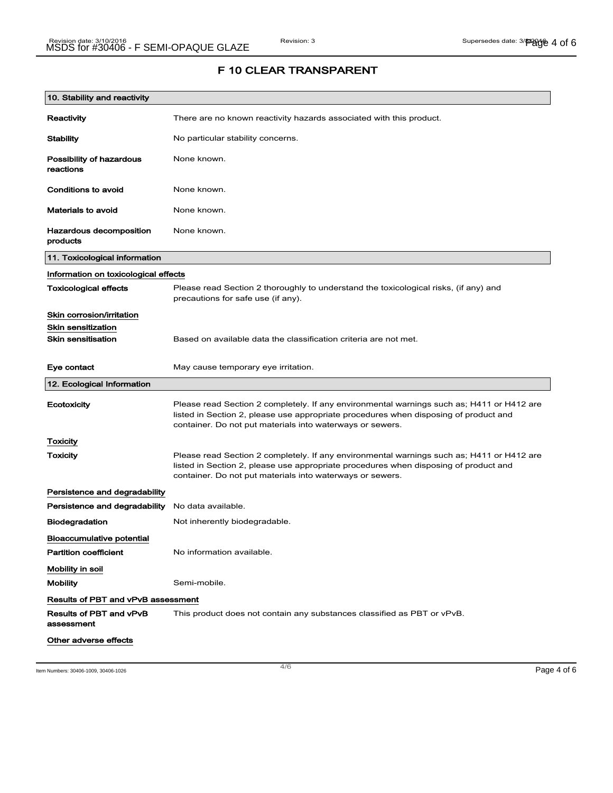| 10. Stability and reactivity              |                                                                                                                                                                                                                                                |
|-------------------------------------------|------------------------------------------------------------------------------------------------------------------------------------------------------------------------------------------------------------------------------------------------|
| Reactivity                                | There are no known reactivity hazards associated with this product.                                                                                                                                                                            |
| <b>Stability</b>                          | No particular stability concerns.                                                                                                                                                                                                              |
| Possibility of hazardous<br>reactions     | None known.                                                                                                                                                                                                                                    |
| Conditions to avoid                       | None known.                                                                                                                                                                                                                                    |
| <b>Materials to avoid</b>                 | None known.                                                                                                                                                                                                                                    |
| Hazardous decomposition<br>products       | None known.                                                                                                                                                                                                                                    |
| 11. Toxicological information             |                                                                                                                                                                                                                                                |
| Information on toxicological effects      |                                                                                                                                                                                                                                                |
| <b>Toxicological effects</b>              | Please read Section 2 thoroughly to understand the toxicological risks, (if any) and<br>precautions for safe use (if any).                                                                                                                     |
| Skin corrosion/irritation                 |                                                                                                                                                                                                                                                |
| <b>Skin sensitization</b>                 |                                                                                                                                                                                                                                                |
| <b>Skin sensitisation</b>                 | Based on available data the classification criteria are not met.                                                                                                                                                                               |
| Eye contact                               | May cause temporary eye irritation.                                                                                                                                                                                                            |
| 12. Ecological Information                |                                                                                                                                                                                                                                                |
| Ecotoxicity                               | Please read Section 2 completely. If any environmental warnings such as; H411 or H412 are<br>listed in Section 2, please use appropriate procedures when disposing of product and<br>container. Do not put materials into waterways or sewers. |
| Toxicity                                  |                                                                                                                                                                                                                                                |
| Toxicity                                  | Please read Section 2 completely. If any environmental warnings such as; H411 or H412 are<br>listed in Section 2, please use appropriate procedures when disposing of product and<br>container. Do not put materials into waterways or sewers. |
| Persistence and degradability             |                                                                                                                                                                                                                                                |
| Persistence and degradability             | No data available.                                                                                                                                                                                                                             |
| <b>Biodegradation</b>                     | Not inherently biodegradable.                                                                                                                                                                                                                  |
| <b>Bioaccumulative potential</b>          |                                                                                                                                                                                                                                                |
| <b>Partition coefficient</b>              | No information available.                                                                                                                                                                                                                      |
| Mobility in soil                          |                                                                                                                                                                                                                                                |
| <b>Mobility</b>                           | Semi-mobile.                                                                                                                                                                                                                                   |
| <b>Results of PBT and vPvB assessment</b> |                                                                                                                                                                                                                                                |
| Results of PBT and vPvB<br>assessment     | This product does not contain any substances classified as PBT or vPvB.                                                                                                                                                                        |
| Other adverse effects                     |                                                                                                                                                                                                                                                |

Item Numbers: 30406-1009, 30406-1026  $\,$  Page 4 of 6  $\,$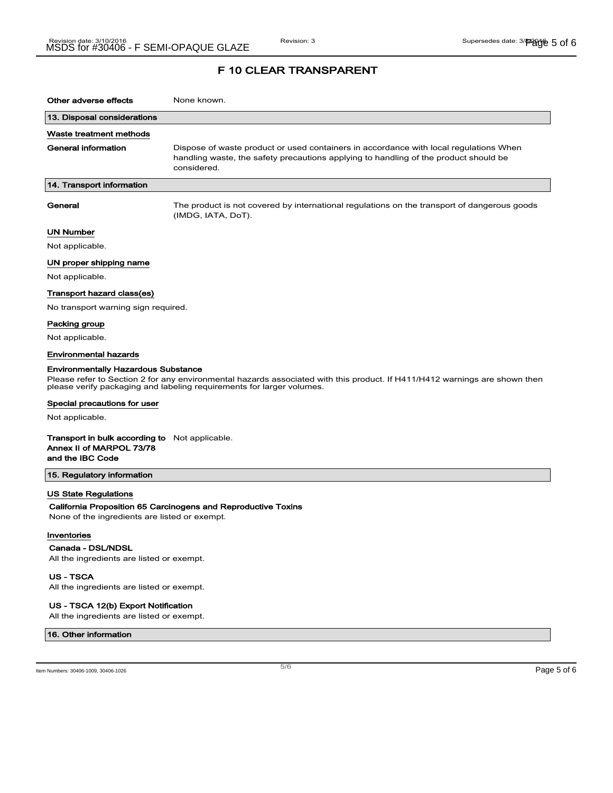| Other adverse effects                                                                                                                                                                                                                             | None known.                                                                                                                                                                                  |  |
|---------------------------------------------------------------------------------------------------------------------------------------------------------------------------------------------------------------------------------------------------|----------------------------------------------------------------------------------------------------------------------------------------------------------------------------------------------|--|
| 13. Disposal considerations                                                                                                                                                                                                                       |                                                                                                                                                                                              |  |
| Waste treatment methods                                                                                                                                                                                                                           |                                                                                                                                                                                              |  |
| General information                                                                                                                                                                                                                               | Dispose of waste product or used containers in accordance with local regulations When<br>handling waste, the safety precautions applying to handling of the product should be<br>considered. |  |
| 14. Transport information                                                                                                                                                                                                                         |                                                                                                                                                                                              |  |
| General                                                                                                                                                                                                                                           | The product is not covered by international regulations on the transport of dangerous goods<br>(IMDG, IATA, DoT).                                                                            |  |
| <b>UN Number</b>                                                                                                                                                                                                                                  |                                                                                                                                                                                              |  |
| Not applicable.                                                                                                                                                                                                                                   |                                                                                                                                                                                              |  |
| UN proper shipping name                                                                                                                                                                                                                           |                                                                                                                                                                                              |  |
| Not applicable.                                                                                                                                                                                                                                   |                                                                                                                                                                                              |  |
| Transport hazard class(es)                                                                                                                                                                                                                        |                                                                                                                                                                                              |  |
| No transport warning sign required.                                                                                                                                                                                                               |                                                                                                                                                                                              |  |
| Packing group                                                                                                                                                                                                                                     |                                                                                                                                                                                              |  |
| Not applicable.                                                                                                                                                                                                                                   |                                                                                                                                                                                              |  |
| <b>Environmental hazards</b>                                                                                                                                                                                                                      |                                                                                                                                                                                              |  |
| <b>Environmentally Hazardous Substance</b><br>Please refer to Section 2 for any environmental hazards associated with this product. If H411/H412 warnings are shown then<br>please verify packaging and labeling requirements for larger volumes. |                                                                                                                                                                                              |  |
| Special precautions for user                                                                                                                                                                                                                      |                                                                                                                                                                                              |  |
| Not applicable.                                                                                                                                                                                                                                   |                                                                                                                                                                                              |  |
| <b>Transport in bulk according to</b> Not applicable.<br>Annex II of MARPOL 73/78<br>and the IBC Code                                                                                                                                             |                                                                                                                                                                                              |  |
| 15. Regulatory information                                                                                                                                                                                                                        |                                                                                                                                                                                              |  |
| <b>US State Regulations</b><br>California Proposition 65 Carcinogens and Reproductive Toxins<br>None of the ingredients are listed or exempt.                                                                                                     |                                                                                                                                                                                              |  |

#### Inventories

Canada - DSL/NDSL

All the ingredients are listed or exempt.

US - TSCA All the ingredients are listed or exempt.

#### US - TSCA 12(b) Export Notification

All the ingredients are listed or exempt.

#### 16. Other information